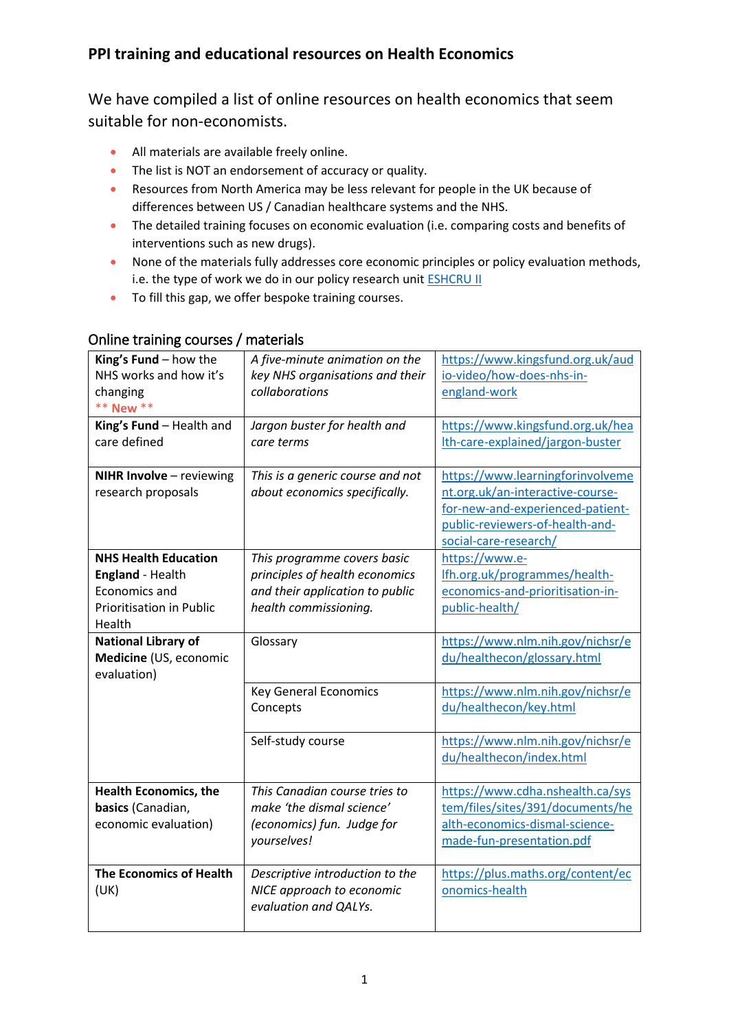## **PPI training and educational resources on Health Economics**

We have compiled a list of online resources on health economics that seem suitable for non-economists.

- All materials are available freely online.
- The list is NOT an endorsement of accuracy or quality.
- Resources from North America may be less relevant for people in the UK because of differences between US / Canadian healthcare systems and the NHS.
- The detailed training focuses on economic evaluation (i.e. comparing costs and benefits of interventions such as new drugs).
- None of the materials fully addresses core economic principles or policy evaluation methods, i.e. the type of work we do in our policy research unit **ESHCRU II**
- To fill this gap, we offer bespoke training courses.

| King's Fund - how the<br>NHS works and how it's<br>changing<br>** New **                                      | A five-minute animation on the<br>key NHS organisations and their<br>collaborations                                       | https://www.kingsfund.org.uk/aud<br>io-video/how-does-nhs-in-<br>england-work                                                                                        |
|---------------------------------------------------------------------------------------------------------------|---------------------------------------------------------------------------------------------------------------------------|----------------------------------------------------------------------------------------------------------------------------------------------------------------------|
| King's Fund - Health and<br>care defined                                                                      | Jargon buster for health and<br>care terms                                                                                | https://www.kingsfund.org.uk/hea<br>Ith-care-explained/jargon-buster                                                                                                 |
| NIHR Involve - reviewing<br>research proposals                                                                | This is a generic course and not<br>about economics specifically.                                                         | https://www.learningforinvolveme<br>nt.org.uk/an-interactive-course-<br>for-new-and-experienced-patient-<br>public-reviewers-of-health-and-<br>social-care-research/ |
| <b>NHS Health Education</b><br><b>England - Health</b><br>Economics and<br>Prioritisation in Public<br>Health | This programme covers basic<br>principles of health economics<br>and their application to public<br>health commissioning. | https://www.e-<br>Ifh.org.uk/programmes/health-<br>economics-and-prioritisation-in-<br>public-health/                                                                |
| <b>National Library of</b><br>Medicine (US, economic<br>evaluation)                                           | Glossary                                                                                                                  | https://www.nlm.nih.gov/nichsr/e<br>du/healthecon/glossary.html                                                                                                      |
|                                                                                                               | <b>Key General Economics</b><br>Concepts                                                                                  | https://www.nlm.nih.gov/nichsr/e<br>du/healthecon/key.html                                                                                                           |
|                                                                                                               | Self-study course                                                                                                         | https://www.nlm.nih.gov/nichsr/e<br>du/healthecon/index.html                                                                                                         |
| <b>Health Economics, the</b><br>basics (Canadian,<br>economic evaluation)                                     | This Canadian course tries to<br>make 'the dismal science'<br>(economics) fun. Judge for<br>yourselves!                   | https://www.cdha.nshealth.ca/sys<br>tem/files/sites/391/documents/he<br>alth-economics-dismal-science-<br>made-fun-presentation.pdf                                  |
| <b>The Economics of Health</b><br>(UK)                                                                        | Descriptive introduction to the<br>NICE approach to economic<br>evaluation and QALYs.                                     | https://plus.maths.org/content/ec<br>onomics-health                                                                                                                  |

## Online training courses / materials